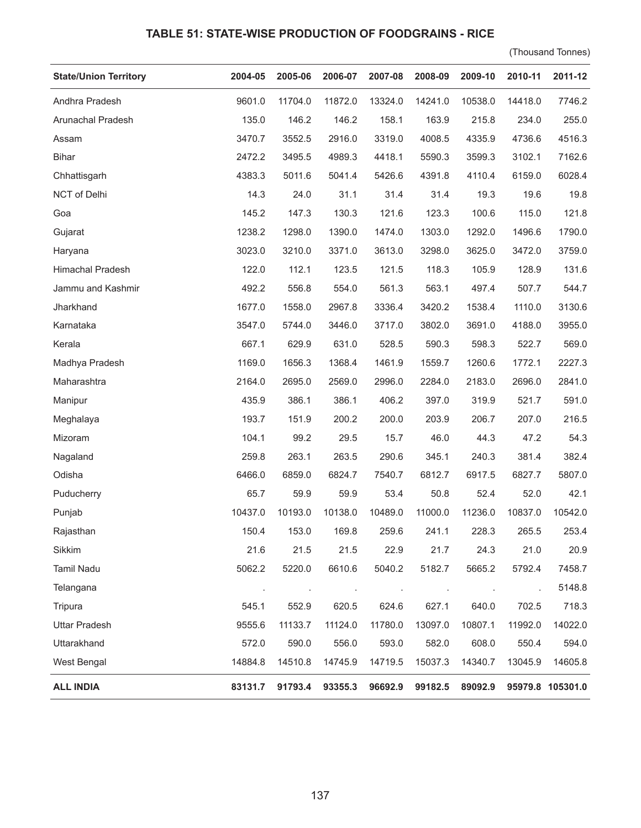## **TABLE 51: STATE-WISE PRODUCTION OF FOODGRAINS - RICE**

(Thousand Tonnes)

| <b>State/Union Territory</b> | 2004-05 | 2005-06 | 2006-07 | 2007-08 | 2008-09 | 2009-10 | 2010-11 | 2011-12          |
|------------------------------|---------|---------|---------|---------|---------|---------|---------|------------------|
| Andhra Pradesh               | 9601.0  | 11704.0 | 11872.0 | 13324.0 | 14241.0 | 10538.0 | 14418.0 | 7746.2           |
| Arunachal Pradesh            | 135.0   | 146.2   | 146.2   | 158.1   | 163.9   | 215.8   | 234.0   | 255.0            |
| Assam                        | 3470.7  | 3552.5  | 2916.0  | 3319.0  | 4008.5  | 4335.9  | 4736.6  | 4516.3           |
| <b>Bihar</b>                 | 2472.2  | 3495.5  | 4989.3  | 4418.1  | 5590.3  | 3599.3  | 3102.1  | 7162.6           |
| Chhattisgarh                 | 4383.3  | 5011.6  | 5041.4  | 5426.6  | 4391.8  | 4110.4  | 6159.0  | 6028.4           |
| NCT of Delhi                 | 14.3    | 24.0    | 31.1    | 31.4    | 31.4    | 19.3    | 19.6    | 19.8             |
| Goa                          | 145.2   | 147.3   | 130.3   | 121.6   | 123.3   | 100.6   | 115.0   | 121.8            |
| Gujarat                      | 1238.2  | 1298.0  | 1390.0  | 1474.0  | 1303.0  | 1292.0  | 1496.6  | 1790.0           |
| Haryana                      | 3023.0  | 3210.0  | 3371.0  | 3613.0  | 3298.0  | 3625.0  | 3472.0  | 3759.0           |
| Himachal Pradesh             | 122.0   | 112.1   | 123.5   | 121.5   | 118.3   | 105.9   | 128.9   | 131.6            |
| Jammu and Kashmir            | 492.2   | 556.8   | 554.0   | 561.3   | 563.1   | 497.4   | 507.7   | 544.7            |
| Jharkhand                    | 1677.0  | 1558.0  | 2967.8  | 3336.4  | 3420.2  | 1538.4  | 1110.0  | 3130.6           |
| Karnataka                    | 3547.0  | 5744.0  | 3446.0  | 3717.0  | 3802.0  | 3691.0  | 4188.0  | 3955.0           |
| Kerala                       | 667.1   | 629.9   | 631.0   | 528.5   | 590.3   | 598.3   | 522.7   | 569.0            |
| Madhya Pradesh               | 1169.0  | 1656.3  | 1368.4  | 1461.9  | 1559.7  | 1260.6  | 1772.1  | 2227.3           |
| Maharashtra                  | 2164.0  | 2695.0  | 2569.0  | 2996.0  | 2284.0  | 2183.0  | 2696.0  | 2841.0           |
| Manipur                      | 435.9   | 386.1   | 386.1   | 406.2   | 397.0   | 319.9   | 521.7   | 591.0            |
| Meghalaya                    | 193.7   | 151.9   | 200.2   | 200.0   | 203.9   | 206.7   | 207.0   | 216.5            |
| Mizoram                      | 104.1   | 99.2    | 29.5    | 15.7    | 46.0    | 44.3    | 47.2    | 54.3             |
| Nagaland                     | 259.8   | 263.1   | 263.5   | 290.6   | 345.1   | 240.3   | 381.4   | 382.4            |
| Odisha                       | 6466.0  | 6859.0  | 6824.7  | 7540.7  | 6812.7  | 6917.5  | 6827.7  | 5807.0           |
| Puducherry                   | 65.7    | 59.9    | 59.9    | 53.4    | 50.8    | 52.4    | 52.0    | 42.1             |
| Punjab                       | 10437.0 | 10193.0 | 10138.0 | 10489.0 | 11000.0 | 11236.0 | 10837.0 | 10542.0          |
| Rajasthan                    | 150.4   | 153.0   | 169.8   | 259.6   | 241.1   | 228.3   | 265.5   | 253.4            |
| Sikkim                       | 21.6    | 21.5    | 21.5    | 22.9    | 21.7    | 24.3    | 21.0    | 20.9             |
| <b>Tamil Nadu</b>            | 5062.2  | 5220.0  | 6610.6  | 5040.2  | 5182.7  | 5665.2  | 5792.4  | 7458.7           |
| Telangana                    |         |         |         |         |         |         |         | 5148.8           |
| Tripura                      | 545.1   | 552.9   | 620.5   | 624.6   | 627.1   | 640.0   | 702.5   | 718.3            |
| <b>Uttar Pradesh</b>         | 9555.6  | 11133.7 | 11124.0 | 11780.0 | 13097.0 | 10807.1 | 11992.0 | 14022.0          |
| Uttarakhand                  | 572.0   | 590.0   | 556.0   | 593.0   | 582.0   | 608.0   | 550.4   | 594.0            |
| West Bengal                  | 14884.8 | 14510.8 | 14745.9 | 14719.5 | 15037.3 | 14340.7 | 13045.9 | 14605.8          |
| <b>ALL INDIA</b>             | 83131.7 | 91793.4 | 93355.3 | 96692.9 | 99182.5 | 89092.9 |         | 95979.8 105301.0 |